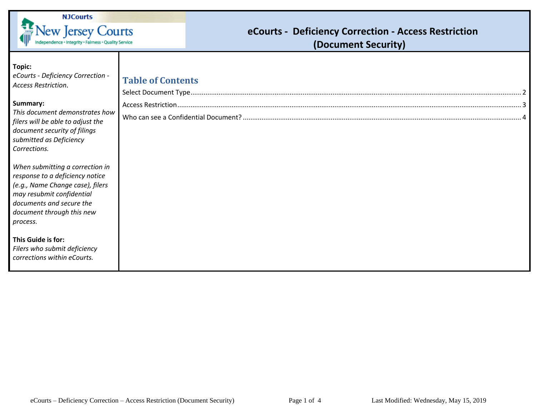

## **eCourts - Deficiency Correction - Access Restriction (Document Security)**

| Topic:<br>eCourts - Deficiency Correction -<br>Access Restriction.<br>Summary:<br>This document demonstrates how<br>filers will be able to adjust the | <b>Table of Contents</b> |
|-------------------------------------------------------------------------------------------------------------------------------------------------------|--------------------------|
| document security of filings<br>submitted as Deficiency<br>Corrections.<br>When submitting a correction in<br>response to a deficiency notice         |                          |
| (e.g., Name Change case), filers<br>may resubmit confidential<br>documents and secure the<br>document through this new<br>process.                    |                          |
| This Guide is for:<br>Filers who submit deficiency<br>corrections within eCourts.                                                                     |                          |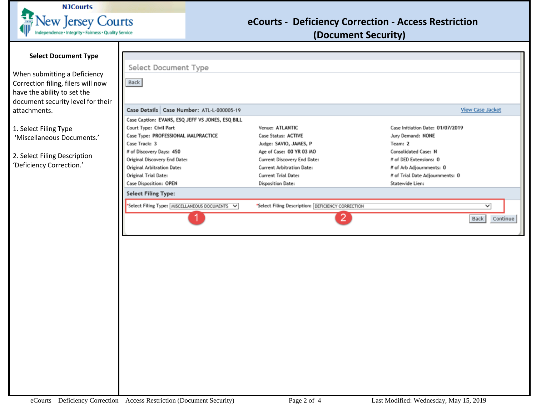

## **eCourts - Deficiency Correction - Access Restriction**

**(Document Security)** 

<span id="page-1-0"></span>

| <b>Select Document Type</b>                                                                                     |                                                                                                                                                                          |                                                                                                                                                          |                                                                                                                                                |                         |
|-----------------------------------------------------------------------------------------------------------------|--------------------------------------------------------------------------------------------------------------------------------------------------------------------------|----------------------------------------------------------------------------------------------------------------------------------------------------------|------------------------------------------------------------------------------------------------------------------------------------------------|-------------------------|
|                                                                                                                 |                                                                                                                                                                          |                                                                                                                                                          |                                                                                                                                                |                         |
| When submitting a Deficiency<br>Correction filing, filers will now<br>have the ability to set the               | Select Document Type<br>Back                                                                                                                                             |                                                                                                                                                          |                                                                                                                                                |                         |
| document security level for their<br>attachments.                                                               | Case Details   Case Number: ATL-L-000005-19<br>Case Caption: EVANS, ESQ JEFF VS JONES, ESQ BILL                                                                          |                                                                                                                                                          |                                                                                                                                                | <b>View Case Jacket</b> |
| 1. Select Filing Type<br>'Miscellaneous Documents.'<br>2. Select Filing Description<br>'Deficiency Correction.' | Court Type: Civil Part<br>Case Type: PROFESSIONAL MALPRACTICE<br>Case Track: 3<br># of Discovery Days: 450<br>Original Discovery End Date:<br>Original Arbitration Date: | Venue: ATLANTIC<br>Case Status: ACTIVE<br>Judge: SAVIO, JAMES, P<br>Age of Case: 00 YR 03 MO<br>Current Discovery End Date:<br>Current Arbitration Date: | Case Initiation Date: 01/07/2019<br>Jury Demand: NONE<br>Team: 2<br>Consolidated Case: N<br># of DED Extensions: 0<br># of Arb Adjournments: 0 |                         |
|                                                                                                                 | Original Trial Date:<br>Case Disposition: OPEN<br><b>Select Filing Type:</b>                                                                                             | <b>Current Trial Date:</b><br>Disposition Date:                                                                                                          | # of Trial Date Adjournments: 0<br>Statewide Lien:                                                                                             |                         |
|                                                                                                                 | "Select Filing Type: MISCELLANEOUS DOCUMENTS V                                                                                                                           | *Select Filing Description: DEFICIENCY CORRECTION<br>2.                                                                                                  |                                                                                                                                                | ◡<br>Back<br>Continue   |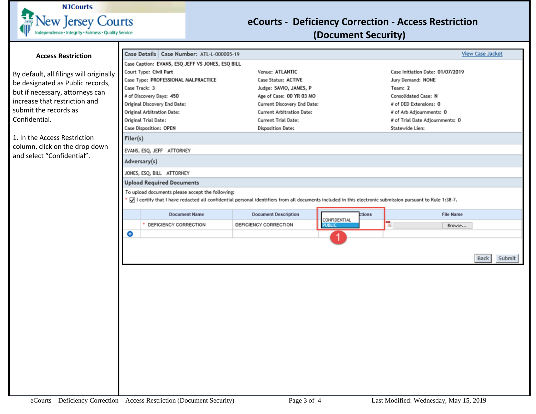

## **eCourts - Deficiency Correction - Access Restriction (Document Security)**

<span id="page-2-0"></span>

| <b>Access Restriction</b>                                    |                                  | Case Details Case Number: ATL-L-000005-19                                                                                                                 |                                  |                               |                                  | <b>View Case Jacket</b>         |  |  |
|--------------------------------------------------------------|----------------------------------|-----------------------------------------------------------------------------------------------------------------------------------------------------------|----------------------------------|-------------------------------|----------------------------------|---------------------------------|--|--|
|                                                              |                                  | Case Caption: EVANS, ESQ JEFF VS JONES, ESQ BILL                                                                                                          |                                  |                               |                                  |                                 |  |  |
| By default, all filings will originally                      |                                  | Court Type: Civil Part                                                                                                                                    | Venue: ATLANTIC                  |                               | Case Initiation Date: 01/07/2019 |                                 |  |  |
| be designated as Public records,                             |                                  | Case Type: PROFESSIONAL MALPRACTICE                                                                                                                       | Case Status: ACTIVE              |                               | Jury Demand: NONE                |                                 |  |  |
|                                                              |                                  | Case Track: 3                                                                                                                                             | Judge: SAVIO, JAMES, P           |                               | Team: 2                          |                                 |  |  |
| but if necessary, attorneys can                              |                                  | # of Discovery Days: 450                                                                                                                                  | Age of Case: 00 YR 03 MO         |                               | Consolidated Case: N             |                                 |  |  |
| increase that restriction and                                |                                  | Original Discovery End Date:                                                                                                                              |                                  | Current Discovery End Date:   |                                  | # of DED Extensions: 0          |  |  |
| submit the records as                                        |                                  | Original Arbitration Date:                                                                                                                                | <b>Current Arbitration Date:</b> |                               |                                  | # of Arb Adjournments: 0        |  |  |
| Confidential.                                                |                                  | Original Trial Date:                                                                                                                                      | Current Trial Date:              |                               |                                  | # of Trial Date Adjournments: 0 |  |  |
|                                                              |                                  | Case Disposition: OPEN                                                                                                                                    | Disposition Date:                |                               | Statewide Lien:                  |                                 |  |  |
| 1. In the Access Restriction                                 | Filer(s)                         |                                                                                                                                                           |                                  |                               |                                  |                                 |  |  |
| column, click on the drop down<br>and select "Confidential". |                                  | EVANS, ESQ, JEFF ATTORNEY                                                                                                                                 |                                  |                               |                                  |                                 |  |  |
|                                                              |                                  | Adversary(s)                                                                                                                                              |                                  |                               |                                  |                                 |  |  |
|                                                              |                                  | JONES, ESQ, BILL ATTORNEY                                                                                                                                 |                                  |                               |                                  |                                 |  |  |
|                                                              | <b>Upload Required Documents</b> |                                                                                                                                                           |                                  |                               |                                  |                                 |  |  |
|                                                              |                                  | To upload documents please accept the following:                                                                                                          |                                  |                               |                                  |                                 |  |  |
|                                                              |                                  | √ I certify that I have redacted all confidential personal identifiers from all documents included in this electronic submission pursuant to Rule 1:38-7. |                                  |                               |                                  |                                 |  |  |
|                                                              |                                  | <b>Document Name</b>                                                                                                                                      | <b>Document Description</b>      | ctions                        |                                  | <b>File Name</b>                |  |  |
|                                                              |                                  | DEFICIENCY CORRECTION                                                                                                                                     | DEFICIENCY CORRECTION            | CONFIDENTIAL<br><b>PUBLIC</b> | l٦.                              | Browse                          |  |  |
|                                                              | ⊖                                |                                                                                                                                                           |                                  | 1                             |                                  |                                 |  |  |
|                                                              |                                  |                                                                                                                                                           |                                  |                               |                                  |                                 |  |  |
|                                                              |                                  |                                                                                                                                                           |                                  |                               |                                  | <b>Back</b><br>Submit           |  |  |
|                                                              |                                  |                                                                                                                                                           |                                  |                               |                                  |                                 |  |  |
|                                                              |                                  |                                                                                                                                                           |                                  |                               |                                  |                                 |  |  |
|                                                              |                                  |                                                                                                                                                           |                                  |                               |                                  |                                 |  |  |
|                                                              |                                  |                                                                                                                                                           |                                  |                               |                                  |                                 |  |  |
|                                                              |                                  |                                                                                                                                                           |                                  |                               |                                  |                                 |  |  |
|                                                              |                                  |                                                                                                                                                           |                                  |                               |                                  |                                 |  |  |
|                                                              |                                  |                                                                                                                                                           |                                  |                               |                                  |                                 |  |  |
|                                                              |                                  |                                                                                                                                                           |                                  |                               |                                  |                                 |  |  |
|                                                              |                                  |                                                                                                                                                           |                                  |                               |                                  |                                 |  |  |
|                                                              |                                  |                                                                                                                                                           |                                  |                               |                                  |                                 |  |  |
|                                                              |                                  |                                                                                                                                                           |                                  |                               |                                  |                                 |  |  |
|                                                              |                                  |                                                                                                                                                           |                                  |                               |                                  |                                 |  |  |
|                                                              |                                  |                                                                                                                                                           |                                  |                               |                                  |                                 |  |  |